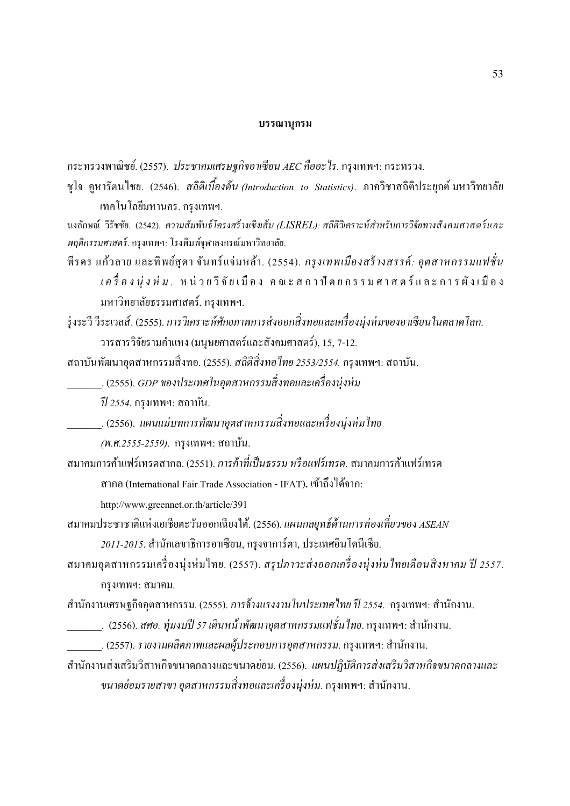## **บรรณานุกรม**

กระทรวงพาณิชย์. (2557). *ประชาคมเศรษฐกิจอาเซียน AEC คืออะไร*. กรุงเทพฯ: กระทรวง.

ชูใจ คูหารัตนไชย. (2546). *สถิติเบืองต้น (Introduction to Statistics)*. ภาควิชาสถิติประยุกต์ มหาวิทยาลัย เทคโนโลยีมหานคร. กรุงเทพฯ.

นงลักษณ์ วิรัชชัย. (2542). *ความสัมพันธ์โครงสร้ างเชิงเส้น (LISREL): สถิติวิเคราะห์สําหรับการวิจัยทางสังคมศาสตร์ และ พฤติกรรมศาสตร์*. กรุงเทพฯ: โรงพิมพ์จุฬาลงกรณ์มหาวิทยาลัย.

พีรคร แก้วลาย และทิพย์สุคา จันทร์แจ่มหล้า. (2554). *กรุงเทพเมืองสร้างสรรค์: อุตสาหกรรมแฟชั่น*  $\iota$  *ค รื่ อ ง นุ่ ง ห่ ม .* ห น่ ว ย วิ จั ย เ มื อ ง ค ณ ะ ส ถ า ปี ต ย ก ร ร ม ศ า ส ต ร์ แ ล ะ ก า ร ผั ง เ มื อ ง มหาวิทยาลัยธรรมศาสตร์. กรุงเทพฯ.

ร่งระวี วีระเวลส์. (2555). การวิเคราะห์ศักยภาพการส่งออกสิ่งทอและเครื่องนุ่งห่มของอาเซียนในตลาดโลก.

วารสารวิจัยรามคําแหง (มนุษยศาสตร์และสังคมศาสตร์), 15, 7-12.

ี สถาบันพัฒนาอุตสาหกรรมสิ่งทอ. (2555). *สถิติสิ่งทอไทย 2553/2554.* กรุงเทพฯ: สถาบัน.

\_\_\_\_\_\_\_. (2555). *GDP ของประเทศในอุตสาหกรรมสิ>งทอและเครื>องนุ่งห่ ม* 

*ปี 2554*. กรุงเทพฯ: สถาบัน.

\_\_\_\_\_\_\_. (2556). แผนแม่บทการพัฒนาอุตสาหกรรมสิ่งทอและเครื่องนุ่งห่มไทย *(พ.ศ.2555-2559)*. กรุงเทพฯ: สถาบัน.

ี สมาคมการค้าแฟร์เทรดสากล. (2551). *การค้าที่เป็นธรรม หรือแฟร์เทรด*. สมาคมการค้าแฟร์เทรด สากล (International Fair Trade Association - IFAT)**.** เข้าถึงได้จาก:

http://www.greennet.or.th/article/391

สมาคมประชาชาติแห่งเอเชียตะวันออกเฉียงใต้. (2556). *แผนกลยุทธ์ด้านการท่องเที่ยวของ ASEAN 2011-2015*. สํานักเลขาธิการอาเซียน, กรุงจาการ์ตา, ประเทศอินโดนีเซีย.

ี สมาคมอุตสาหกรรมเครื่องนุ่งห่มไทย. (2557). *สรุปภาวะส่งออกเครื่องนุ่งห่มไทยเดือนสิงหาคม ปี 2557*. กรุงเทพฯ: สมาคม.

สํานักงานเศรษฐกิจอุตสาหกรรม. (2555). *การจ้างแรงงานในประเทศไทย ปี 2554*. กรุงเทพฯ: สํานักงาน.

\_\_\_\_\_\_\_. (2556). *สศอ. ทุ่มงบปี 57 เดินหน้าพัฒนาอุตสาหกรรมแฟชั่นไทย.* กรุงเทพฯ: สำนักงาน.

\_\_\_\_\_\_\_. (2557). *รายงานผลิตภาพและผลผู้ประกอบการอุตสาหกรรม*. กรุงเทพฯ: สํานักงาน.

สํานักงานส่งเสริมวิสาหกิจขนาดกลางและขนาดยอม. (2556). ่ *แผนปฏิบัติการส่งเสริมวิสาหกิจขนาดกลางและ ขนาดย่อมรายสาขา อุตสาหกรรมสิ่งทอและเครื่องนุ่งห่ม*. กรุงเทพฯ: สำนักงาน.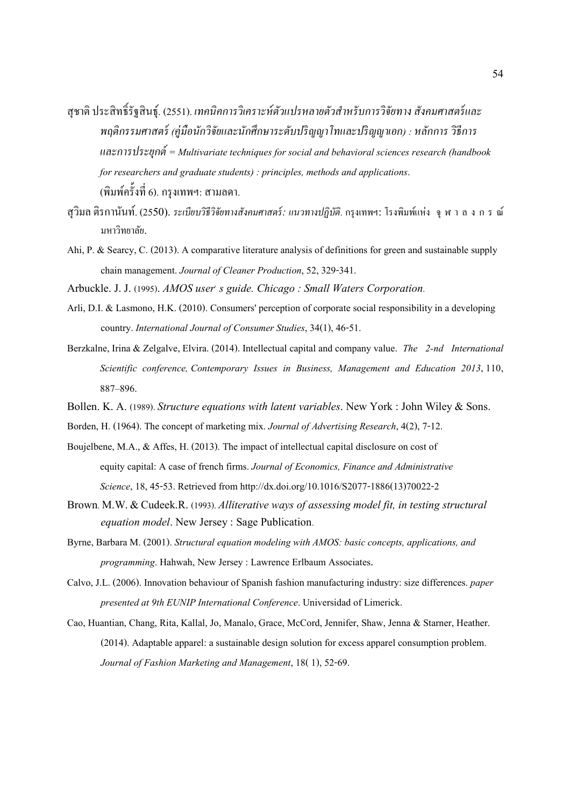- สุชาติ ประสิทธิ[รัฐสินธุ์. (2551). *เทคนิคการวิเคราะห์ตัวแปรหลายตัวสําหรับการวิจัยทาง สังคมศาสตร์ และ พฤติกรรมศาสตร์ (คู่มือนักวิจัยและนักศึกษาระดับปริญญาโทและปริญญาเอก) : หลักการ วิธีการ และการประยุกต์ = Multivariate techniques for social and behavioral sciences research (handbook for researchers and graduate students) : principles, methods and applications*. (พิมพ์ครั้งที่ 6). กรุงเทพฯ: สามลดา.
- สุวิมล ติรกานันท์. (2550). *ระเบียบวิธีวิจัยทางสังคมศาสตร์: แนวทางปฏิบัติ*. กรุงเทพฯ: โรงพิมพ์แห่ง จุ ฬ า ล ง ก ร ณ์ มหาวิทยาลัย.
- Ahi, P. & Searcy, C. (2013). A comparative literature analysis of definitions for green and sustainable supply chain management. *Journal of Cleaner Production*, 52, 329-341.

Arbuckle. J. J. (1995). *AMOS user s guide. Chicago: Small Waters Corporation.* 

- Arli, D.I. & Lasmono, H.K. (2010). Consumers' perception of corporate social responsibility in a developing country. *International Journal of Consumer Studies*, 34(1), 46-51.
- Berzkalne, Irina & Zelgalve, Elvira. (2014). Intellectual capital and company value. *The 2-nd International Scientific conference, Contemporary Issues in Business, Management and Education 2013*, 110, 887–896.
- Bollen. K. A. (1989). *Structure equations with latent variables*. New York : John Wiley & Sons.
- Borden, H. (1964). The concept of marketing mix. *Journal of Advertising Research*, 4(2), 7-12.
- Boujelbene, M.A., & Affes, H. (2013). The impact of intellectual capital disclosure on cost of equity capital: A case of french firms. *Journal of Economics, Finance and Administrative Science*, 18, 45-53. Retrieved from http://dx.doi.org/10.1016/S2077-1886(13)70022-2
- Brown. M.W. & Cudeek.R. (1993). *Alliterative ways of assessing model fit, in testing structural equation model*. New Jersey : Sage Publication.
- Byrne, Barbara M. (2001). *Structural equation modeling with AMOS: basic concepts, applications, and programming*. Hahwah, New Jersey : Lawrence Erlbaum Associates.
- Calvo, J.L. (2006). Innovation behaviour of Spanish fashion manufacturing industry: size differences. *paper presented at 9th EUNIP International Conference*. Universidad of Limerick.
- Cao, Huantian, Chang, Rita, Kallal, Jo, Manalo, Grace, McCord, Jennifer, Shaw, Jenna & Starner, Heather. (2014). Adaptable apparel: a sustainable design solution for excess apparel consumption problem. *Journal of Fashion Marketing and Management*, 18( 1), 52-69.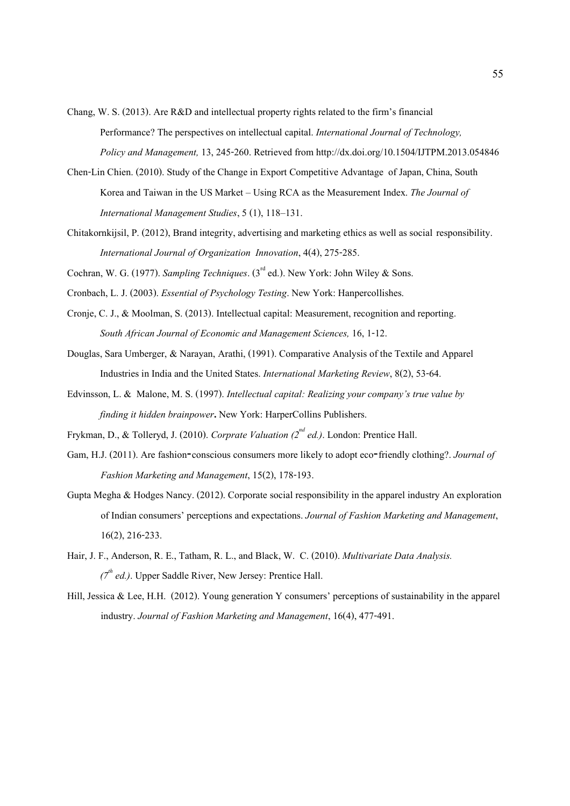Chang, W. S. (2013). Are R&D and intellectual property rights related to the firm's financial Performance? The perspectives on intellectual capital. *International Journal of Technology, Policy and Management,* 13, 245-260. Retrieved from http://dx.doi.org/10.1504/IJTPM.2013.054846

- Chen-Lin Chien. (2010). Study of the Change in Export Competitive Advantage of Japan, China, South Korea and Taiwan in the US Market – Using RCA as the Measurement Index. *The Journal of International Management Studies*, 5 (1), 118–131.
- Chitakornkijsil, P. (2012), Brand integrity, advertising and marketing ethics as well as social responsibility. *International Journal of Organization Innovation*, 4(4), 275-285.

Cochran, W. G. (1977). *Sampling Techniques*. (3<sup>rd</sup> ed.). New York: John Wiley & Sons.

Cronbach, L. J. (2003). *Essential of Psychology Testing*. New York: Hanpercollishes.

- Cronje, C. J., & Moolman, S. (2013). Intellectual capital: Measurement, recognition and reporting. *South African Journal of Economic and Management Sciences,* 16, 1-12.
- Douglas, Sara Umberger, & Narayan, Arathi, (1991). Comparative Analysis of the Textile and Apparel Industries in India and the United States. *International Marketing Review*, 8(2), 53-64.
- Edvinsson, L. & Malone, M. S. (1997). *Intellectual capital: Realizing your company's true value by finding it hidden brainpower***.** New York: HarperCollins Publishers.
- Frykman, D., & Tolleryd, J. (2010). *Corprate Valuation (2nd ed.)*. London: Prentice Hall.
- Gam, H.J. (2011). Are fashion-conscious consumers more likely to adopt eco-friendly clothing?. *Journal of Fashion Marketing and Management*, 15(2), 178-193.
- Gupta Megha & Hodges Nancy. (2012). Corporate social responsibility in the apparel industry An exploration of Indian consumers' perceptions and expectations. *Journal of Fashion Marketing and Management*, 16(2), 216-233.
- Hair, J. F., Anderson, R. E., Tatham, R. L., and Black, W. C. (2010). *Multivariate Data Analysis.*   $(7<sup>th</sup>$  *ed.*). Upper Saddle River, New Jersey: Prentice Hall.
- Hill, Jessica & Lee, H.H. (2012). Young generation Y consumers' perceptions of sustainability in the apparel industry. *Journal of Fashion Marketing and Management*, 16(4), 477-491.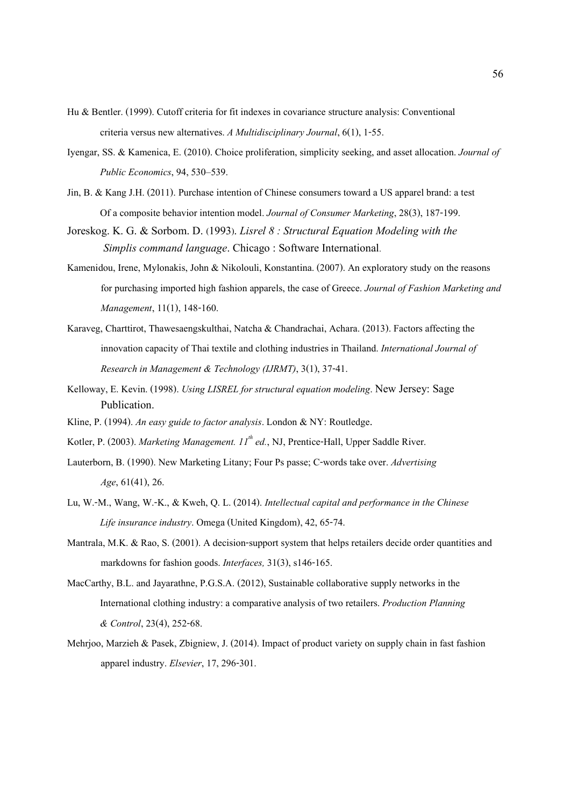- Hu & Bentler. (1999). Cutoff criteria for fit indexes in covariance structure analysis: Conventional criteria versus new alternatives. *A Multidisciplinary Journal*, 6(1), 1-55.
- Iyengar, SS. & Kamenica, E. (2010). Choice proliferation, simplicity seeking, and asset allocation. *Journal of Public Economics*, 94, 530–539.
- Jin, B. & Kang J.H. (2011). Purchase intention of Chinese consumers toward a US apparel brand: a test Of a composite behavior intention model. *Journal of Consumer Marketing*, 28(3), 187-199.
- Joreskog. K. G. & Sorbom. D. (1993). *Lisrel 8 : Structural Equation Modeling with the Simplis command language*. Chicago : Software International.
- Kamenidou, Irene, Mylonakis, John & Nikolouli, Konstantina. (2007). An exploratory study on the reasons for purchasing imported high fashion apparels, the case of Greece. *Journal of Fashion Marketing and Management*, 11(1), 148-160.
- Karaveg, Charttirot, Thawesaengskulthai, Natcha & Chandrachai, Achara. (2013). Factors affecting the innovation capacity of Thai textile and clothing industries in Thailand. *International Journal of Research in Management & Technology (IJRMT)*, 3(1), 37-41.
- Kelloway, E. Kevin. (1998). *Using LISREL for structural equation modeling*. New Jersey: Sage Publication.
- Kline, P. (1994). *An easy guide to factor analysis*. London & NY: Routledge.
- Kotler, P. (2003). *Marketing Management. 11<sup>th</sup> ed.*, NJ, Prentice-Hall, Upper Saddle River.
- Lauterborn, B. (1990). New Marketing Litany; Four Ps passe; C-words take over. *Advertising Age*, 61(41), 26.
- Lu, W.-M., Wang, W.-K., & Kweh, Q. L. (2014). *Intellectual capital and performance in the Chinese Life insurance industry*. Omega (United Kingdom), 42, 65-74.
- Mantrala, M.K. & Rao, S. (2001). A decision-support system that helps retailers decide order quantities and markdowns for fashion goods. *Interfaces,* 31(3), s146-165.
- MacCarthy, B.L. and Jayarathne, P.G.S.A. (2012), Sustainable collaborative supply networks in the International clothing industry: a comparative analysis of two retailers. *Production Planning & Control*, 23(4), 252-68.
- Mehrjoo, Marzieh & Pasek, Zbigniew, J. (2014). Impact of product variety on supply chain in fast fashion apparel industry. *Elsevier*, 17, 296-301.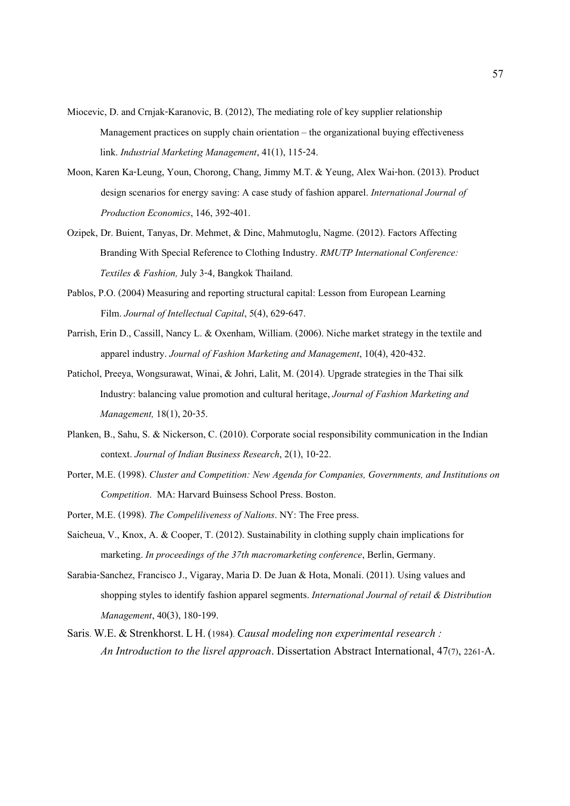- Miocevic, D. and Crnjak-Karanovic, B. (2012), The mediating role of key supplier relationship Management practices on supply chain orientation – the organizational buying effectiveness link. *Industrial Marketing Management*, 41(1), 115-24.
- Moon, Karen Ka-Leung, Youn, Chorong, Chang, Jimmy M.T. & Yeung, Alex Wai-hon. (2013). Product design scenarios for energy saving: A case study of fashion apparel. *International Journal of Production Economics*, 146, 392-401.
- Ozipek, Dr. Buient, Tanyas, Dr. Mehmet, & Dinc, Mahmutoglu, Nagme. (2012). Factors Affecting Branding With Special Reference to Clothing Industry. *RMUTP International Conference: Textiles & Fashion,* July 3-4, Bangkok Thailand.
- Pablos, P.O. (2004) Measuring and reporting structural capital: Lesson from European Learning Film. *Journal of Intellectual Capital*, 5(4), 629-647.
- Parrish, Erin D., Cassill, Nancy L. & Oxenham, William. (2006). Niche market strategy in the textile and apparel industry. *Journal of Fashion Marketing and Management*, 10(4), 420-432.
- Patichol, Preeya, Wongsurawat, Winai, & Johri, Lalit, M. (2014). Upgrade strategies in the Thai silk Industry: balancing value promotion and cultural heritage, *Journal of Fashion Marketing and Management,* 18(1), 20-35.
- Planken, B., Sahu, S. & Nickerson, C. (2010). Corporate social responsibility communication in the Indian context. *Journal of Indian Business Research*, 2(1), 10-22.
- Porter, M.E. (1998). *Cluster and Competition: New Agenda for Companies, Governments, and Institutions on Competition*. MA: Harvard Buinsess School Press. Boston.
- Porter, M.E. (1998). *The Compeliliveness of Nalions*. NY: The Free press.
- Saicheua, V., Knox, A. & Cooper, T. (2012). Sustainability in clothing supply chain implications for marketing. *In proceedings of the 37th macromarketing conference*, Berlin, Germany.
- Sarabia-Sanchez, Francisco J., Vigaray, Maria D. De Juan & Hota, Monali. (2011). Using values and shopping styles to identify fashion apparel segments. *International Journal of retail & Distribution Management*, 40(3), 180-199.
- Saris. W.E. & Strenkhorst. L H. (1984). *Causal modeling non experimental research : An Introduction to the lisrel approach*. Dissertation Abstract International, 47(7), 2261-A.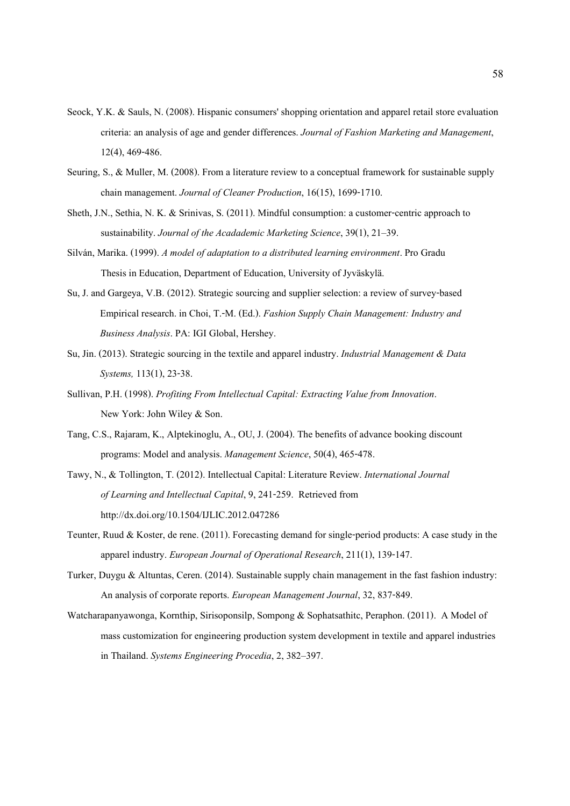- Seock, Y.K. & Sauls, N. (2008). Hispanic consumers' shopping orientation and apparel retail store evaluation criteria: an analysis of age and gender differences. *Journal of Fashion Marketing and Management*, 12(4), 469-486.
- Seuring, S., & Muller, M. (2008). From a literature review to a conceptual framework for sustainable supply chain management. *Journal of Cleaner Production*, 16(15), 1699-1710.
- Sheth, J.N., Sethia, N. K. & Srinivas, S. (2011). Mindful consumption: a customer-centric approach to sustainability. *Journal of the Acadademic Marketing Science*, 39(1), 21–39.
- Silván, Marika. (1999). *A model of adaptation to a distributed learning environment*. Pro Gradu Thesis in Education, Department of Education, University of Jyväskylä.
- Su, J. and Gargeya, V.B. (2012). Strategic sourcing and supplier selection: a review of survey-based Empirical research. in Choi, T.-M. (Ed.). *Fashion Supply Chain Management: Industry and Business Analysis*. PA: IGI Global, Hershey.
- Su, Jin. (2013). Strategic sourcing in the textile and apparel industry. *Industrial Management & Data Systems,* 113(1), 23-38.
- Sullivan, P.H. (1998). *Profiting From Intellectual Capital: Extracting Value from Innovation*. New York: John Wiley & Son.
- Tang, C.S., Rajaram, K., Alptekinoglu, A., OU, J. (2004). The benefits of advance booking discount programs: Model and analysis. *Management Science*, 50(4), 465-478.
- Tawy, N., & Tollington, T. (2012). Intellectual Capital: Literature Review. *International Journal of Learning and Intellectual Capital*, 9, 241-259. Retrieved from http://dx.doi.org/10.1504/IJLIC.2012.047286
- Teunter, Ruud & Koster, de rene. (2011). Forecasting demand for single-period products: A case study in the apparel industry. *European Journal of Operational Research*, 211(1), 139-147.
- Turker, Duygu & Altuntas, Ceren. (2014). Sustainable supply chain management in the fast fashion industry: An analysis of corporate reports. *European Management Journal*, 32, 837-849.
- Watcharapanyawonga, Kornthip, Sirisoponsilp, Sompong & Sophatsathitc, Peraphon. (2011). A Model of mass customization for engineering production system development in textile and apparel industries in Thailand. *Systems Engineering Procedia*, 2, 382–397.